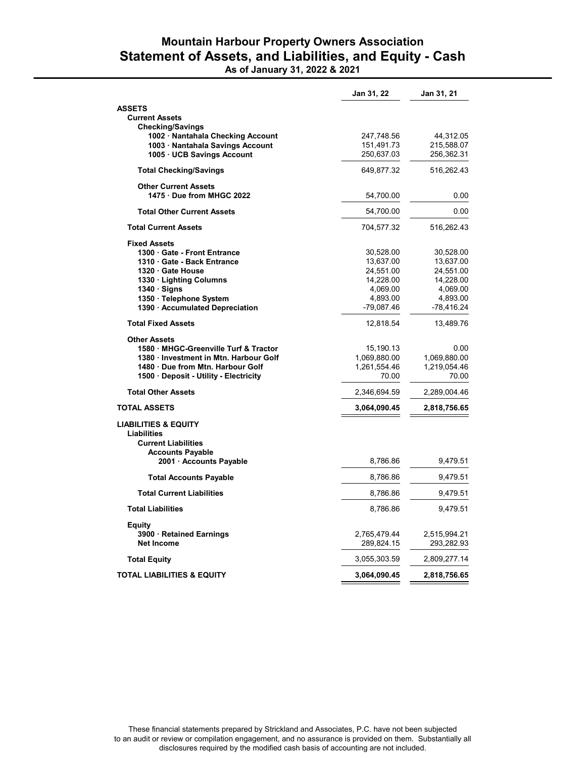## Mountain Harbour Property Owners Association Statement of Assets, and Liabilities, and Equity - Cash As of January 31, 2022 & 2021

|                                                                                     | Jan 31, 22   | Jan 31, 21   |
|-------------------------------------------------------------------------------------|--------------|--------------|
| <b>ASSETS</b>                                                                       |              |              |
| <b>Current Assets</b>                                                               |              |              |
| Checking/Savings                                                                    |              |              |
| 1002 · Nantahala Checking Account                                                   | 247,748.56   | 44,312.05    |
| 1003 · Nantahala Savings Account                                                    | 151,491.73   | 215,588.07   |
| 1005 UCB Savings Account                                                            | 250,637.03   | 256,362.31   |
| <b>Total Checking/Savings</b>                                                       | 649,877.32   | 516,262.43   |
| <b>Other Current Assets</b>                                                         |              |              |
| 1475 Due from MHGC 2022                                                             | 54,700.00    | 0.00         |
| <b>Total Other Current Assets</b>                                                   | 54,700.00    | 0.00         |
| <b>Total Current Assets</b>                                                         | 704,577.32   | 516,262.43   |
| <b>Fixed Assets</b>                                                                 |              |              |
| 1300 Gate - Front Entrance                                                          | 30,528.00    | 30,528.00    |
| 1310 Gate - Back Entrance                                                           | 13,637.00    | 13,637.00    |
| 1320 Gate House                                                                     | 24,551.00    | 24,551.00    |
| 1330 · Lighting Columns                                                             | 14,228.00    | 14,228.00    |
| 1340 Signs                                                                          | 4,069.00     | 4,069.00     |
| 1350 · Telephone System                                                             | 4,893.00     | 4,893.00     |
| 1390 · Accumulated Depreciation                                                     | -79,087.46   | -78,416.24   |
| <b>Total Fixed Assets</b>                                                           | 12,818.54    | 13,489.76    |
| Other Assets                                                                        |              |              |
| 1580 MHGC-Greenville Turf & Tractor                                                 | 15,190.13    | 0.00         |
| 1380 Investment in Mtn. Harbour Golf                                                | 1,069,880.00 | 1,069,880.00 |
| 1480 Due from Mtn. Harbour Golf                                                     | 1,261,554.46 | 1,219,054.46 |
| 1500 Deposit - Utility - Electricity                                                | 70.00        | 70.00        |
| <b>Total Other Assets</b>                                                           | 2,346,694.59 | 2,289,004.46 |
| <b>TOTAL ASSETS</b>                                                                 | 3,064,090.45 | 2,818,756.65 |
| <b>LIABILITIES &amp; EQUITY</b><br><b>Liabilities</b><br><b>Current Liabilities</b> |              |              |
| <b>Accounts Payable</b><br>2001 · Accounts Payable                                  | 8,786.86     | 9,479.51     |
| <b>Total Accounts Payable</b>                                                       | 8,786.86     | 9,479.51     |
| <b>Total Current Liabilities</b>                                                    | 8,786.86     | 9,479.51     |
| <b>Total Liabilities</b>                                                            | 8,786.86     | 9,479.51     |
| Equity                                                                              |              |              |
| 3900 Retained Earnings                                                              | 2,765,479.44 | 2,515,994.21 |
| <b>Net Income</b>                                                                   | 289,824.15   | 293,282.93   |
|                                                                                     |              |              |
| Total Equity                                                                        | 3,055,303.59 | 2,809,277.14 |
| <b>TOTAL LIABILITIES &amp; EQUITY</b>                                               | 3,064,090.45 | 2,818,756.65 |